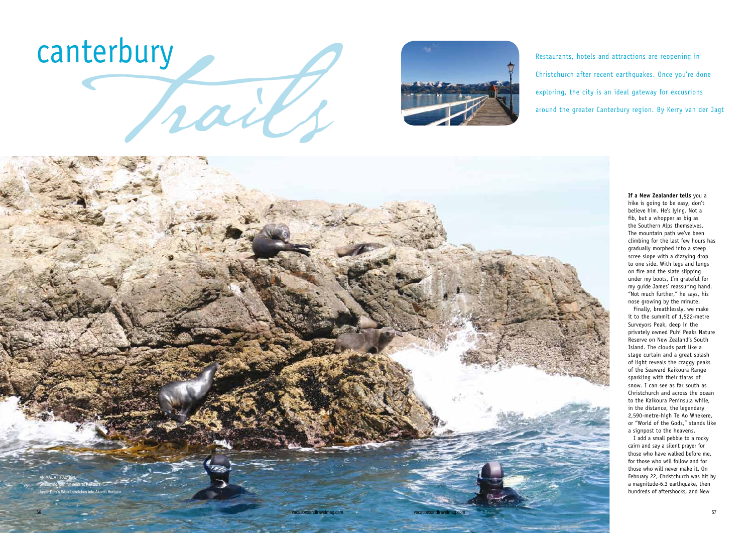**If a New Zealander tells** you a hike is going to be easy, don't believe him. He's lying. Not a fib, but a whopper as big as the Southern Alps themselves. The mountain path we've been climbing for the last few hours has gradually morphed into a steep scree slope with a dizzying drop to one side. With legs and lungs on fire and the slate slipping under my boots, I'm grateful for my guide James' reassuring hand. "Not much further," he says, his nose growing by the minute.

Finally, breathlessly, we make it to the summit of 1,522-metre Surveyors Peak, deep in the privately owned Puhi Peaks Nature Reserve on New Zealand's South Island. The clouds part like a stage curtain and a great splash of light reveals the craggy peaks of the Seaward Kaikoura Range sparkling with their tiaras of snow. I can see as far south as Christchurch and across the ocean to the Kaikoura Peninsula while, in the distance, the legendary 2,590-metre-high Te Ao Whekere, or "World of the Gods," stands like a signpost to the heavens.

I add a small pebble to a rocky cairn and say a silent prayer for those who have walked before me, for those who will follow and for those who will never make it. On February 22, Christchurch was hit by a magnitude-6.3 earthquake, then hundreds of aftershocks, and New





Christchurch after recent earthquakes. Once you're done exploring, the city is an ideal gateway for excusrions around the greater Canterbury region. By Kerry van der Jagt

vacationsandtravelmag.com vacationsandtravelmag.com

ANIMAL ATTRACTION Swimming with fur seals at Kaikoura Inset: Daly's Wharf stretches into Akaroa Harbour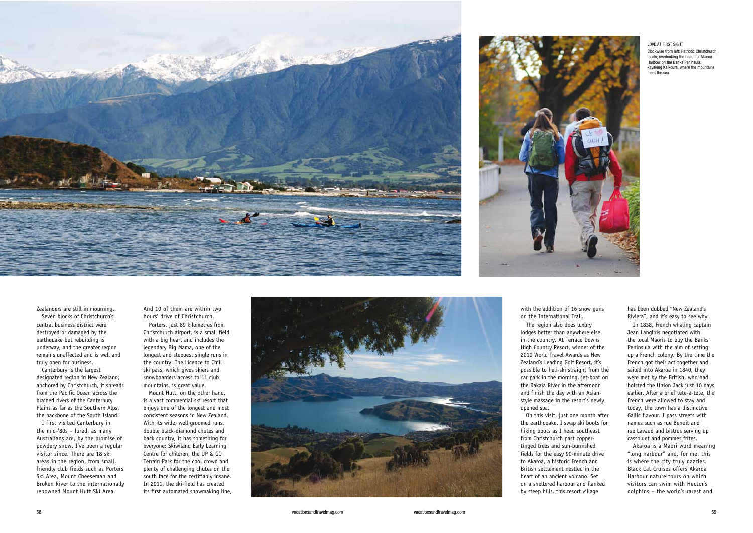with the addition of 16 snow guns on the International Trail. The region also does luxury lodges better than anywhere else in the country. At Terrace Downs High Country Resort, winner of the 2010 World Travel Awards as New Zealand's Leading Golf Resort, it's possible to heli-ski straight from the car park in the morning, jet-boat on the Rakaia River in the afternoon and finish the day with an Asianstyle massage in the resort's newly

opened spa.

On this visit, just one month after the earthquake, I swap ski boots for hiking boots as I head southeast from Christchurch past coppertinged trees and sun-burnished fields for the easy 90-minute drive to Akaroa, a historic French and British settlement nestled in the heart of an ancient volcano. Set on a sheltered harbour and flanked by steep hills, this resort village

has been dubbed "New Zealand's Riviera", and it's easy to see why.

In 1838, French whaling captain Jean Langlois negotiated with the local Maoris to buy the Banks Peninsula with the aim of setting up a French colony. By the time the French got their act together and sailed into Akaroa in 1840, they were met by the British, who had hoisted the Union Jack just 10 days earlier. After a brief tête-à-tête, the French were allowed to stay and today, the town has a distinctive Gallic flavour. I pass streets with names such as rue Benoit and rue Lavaud and bistros serving up cassoulet and pommes frites.

Akaroa is a Maori word meaning "long harbour" and, for me, this is where the city truly dazzles. Black Cat Cruises offers Akaroa Harbour nature tours on which visitors can swim with Hector's dolphins – the world's rarest and





Zealanders are still in mourning. Seven blocks of Christchurch's central business district were destroyed or damaged by the earthquake but rebuilding is underway, and the greater region remains unaffected and is well and truly open for business.

Canterbury is the largest designated region in New Zealand; anchored by Christchurch, it spreads from the Pacific Ocean across the braided rivers of the Canterbury Plains as far as the Southern Alps, the backbone of the South Island.

I first visited Canterbury in the mid-'80s – lured, as many Australians are, by the promise of powdery snow. I've been a regular visitor since. There are 18 ski areas in the region, from small, friendly club fields such as Porters Ski Area, Mount Cheeseman and Broken River to the internationally renowned Mount Hutt Ski Area.

And 10 of them are within two hours' drive of Christchurch.

Porters, just 89 kilometres from Christchurch airport, is a small field with a big heart and includes the legendary Big Mama, one of the longest and steepest single runs in the country. The Licence to Chill ski pass, which gives skiers and snowboarders access to 11 club mountains, is great value.

Mount Hutt, on the other hand, is a vast commercial ski resort that enjoys one of the longest and most consistent seasons in New Zealand. With its wide, well groomed runs, double black-diamond chutes and back country, it has something for everyone: Skiwiland Early Learning Centre for children, the UP & GO Terrain Park for the cool crowd and plenty of challenging chutes on the south face for the certifiably insane. In 2011, the ski-field has created its first automated snowmaking line,



LOVE AT FIRST SIGHT

Clockwise from left: Patriotic Christchurch locals; overlooking the beautiful Akaroa Harbour on the Banks Peninsula; kayaking Kaikoura, where the mountains meet the sea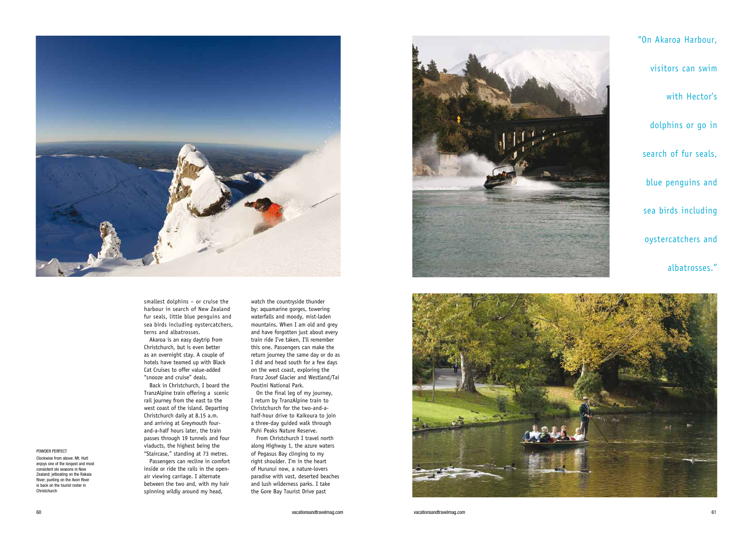

smallest dolphins – or cruise the harbour in search of New Zealand fur seals, little blue penguins and sea birds including oystercatchers, terns and albatrosses.

Akaroa is an easy daytrip from Christchurch, but is even better as an overnight stay. A couple of hotels have teamed up with Black Cat Cruises to offer value-added "snooze and cruise" deals.

Back in Christchurch, I board the TranzAlpine train offering a scenic rail journey from the east to the west coast of the island. Departing Christchurch daily at 8.15 a.m. and arriving at Greymouth fourand-a-half hours later, the train passes through 19 tunnels and four viaducts, the highest being the "Staircase," standing at 73 metres.

Passengers can recline in comfort inside or ride the rails in the openair viewing carriage. I alternate between the two and, with my hair spinning wildly around my head,

watch the countryside thunder by: aquamarine gorges, towering waterfalls and moody, mist-laden mountains. When I am old and grey and have forgotten just about every train ride I've taken, I'll remember this one. Passengers can make the return journey the same day or do as I did and head south for a few days on the west coast, exploring the Franz Josef Glacier and Westland/Tai Poutini National Park.

On the final leg of my journey, I return by TranzAlpine train to Christchurch for the two-and-ahalf-hour drive to Kaikoura to join a three-day guided walk through Puhi Peaks Nature Reserve.

From Christchurch I travel north along Highway 1, the azure waters of Pegasus Bay clinging to my right shoulder. I'm in the heart of Hurunui now, a nature-lovers paradise with vast, deserted beaches and lush wilderness parks. I take the Gore Bay Tourist Drive past





POWDER PERFECT

Clockwise from above: Mt. Hutt enjoys one of the longest and most consistent ski seasons in New

### Zealand; jetboating on the Rakaia River; punting on the Avon River

is back on the tourist roster in Christchurch

#### 60 vacationsandtravelmag.com vacationsandtravelmag.com 61

"On Akaroa Harbour, visitors can swim with Hector's dolphins or go in search of fur seals, blue penguins and sea birds including oystercatchers and

## albatrosses."